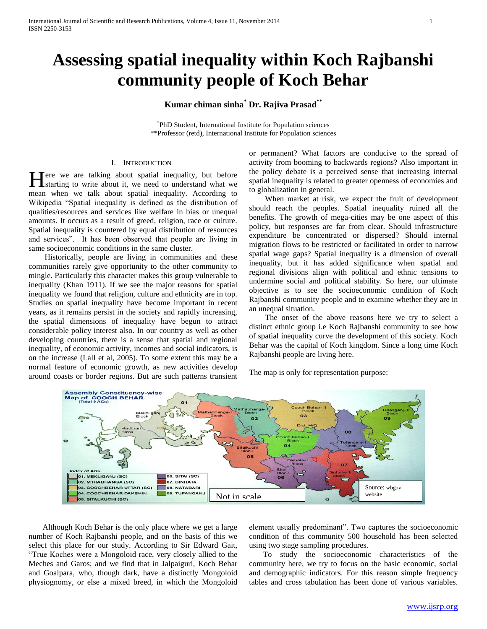# **Assessing spatial inequality within Koch Rajbanshi community people of Koch Behar**

**Kumar chiman sinha\* Dr. Rajiva Prasad\*\***

\* PhD Student, International Institute for Population sciences \*\*Professor (retd), International Institute for Population sciences

## I. INTRODUCTION

Tere we are talking about spatial inequality, but before Here we are talking about spatial inequality, but before starting to write about it, we need to understand what we mean when we talk about spatial inequality. According to Wikipedia "Spatial inequality is defined as the distribution of qualities/resources and services like welfare in bias or unequal amounts. It occurs as a result of greed, religion, race or culture. Spatial inequality is countered by equal distribution of resources and services". It has been observed that people are living in same socioeconomic conditions in the same cluster.

 Historically, people are living in communities and these communities rarely give opportunity to the other community to mingle. Particularly this character makes this group vulnerable to inequality (Khan 1911). If we see the major reasons for spatial inequality we found that religion, culture and ethnicity are in top. Studies on spatial inequality have become important in recent years, as it remains persist in the society and rapidly increasing, the spatial dimensions of inequality have begun to attract considerable policy interest also. In our country as well as other developing countries, there is a sense that spatial and regional inequality, of economic activity, incomes and social indicators, is on the increase (Lall et al, 2005). To some extent this may be a normal feature of economic growth, as new activities develop around coasts or border regions. But are such patterns transient or permanent? What factors are conducive to the spread of activity from booming to backwards regions? Also important in the policy debate is a perceived sense that increasing internal spatial inequality is related to greater openness of economies and to globalization in general.

 When market at risk, we expect the fruit of development should reach the peoples. Spatial inequality ruined all the benefits. The growth of mega-cities may be one aspect of this policy, but responses are far from clear. Should infrastructure expenditure be concentrated or dispersed? Should internal migration flows to be restricted or facilitated in order to narrow spatial wage gaps? Spatial inequality is a dimension of overall inequality, but it has added significance when spatial and regional divisions align with political and ethnic tensions to undermine social and political stability. So here, our ultimate objective is to see the socioeconomic condition of Koch Rajbanshi community people and to examine whether they are in an unequal situation.

 The onset of the above reasons here we try to select a distinct ethnic group i.e Koch Rajbanshi community to see how of spatial inequality curve the development of this society. Koch Behar was the capital of Koch kingdom. Since a long time Koch Rajbanshi people are living here.

The map is only for representation purpose:



 Although Koch Behar is the only place where we get a large number of Koch Rajbanshi people, and on the basis of this we select this place for our study. According to Sir Edward Gait, "True Koches were a Mongoloid race, very closely allied to the Meches and Garos; and we find that in Jalpaiguri, Koch Behar and Goalpara, who, though dark, have a distinctly Mongoloid physiognomy, or else a mixed breed, in which the Mongoloid element usually predominant". Two captures the socioeconomic condition of this community 500 household has been selected using two stage sampling procedures.

 To study the socioeconomic characteristics of the community here, we try to focus on the basic economic, social and demographic indicators. For this reason simple frequency tables and cross tabulation has been done of various variables.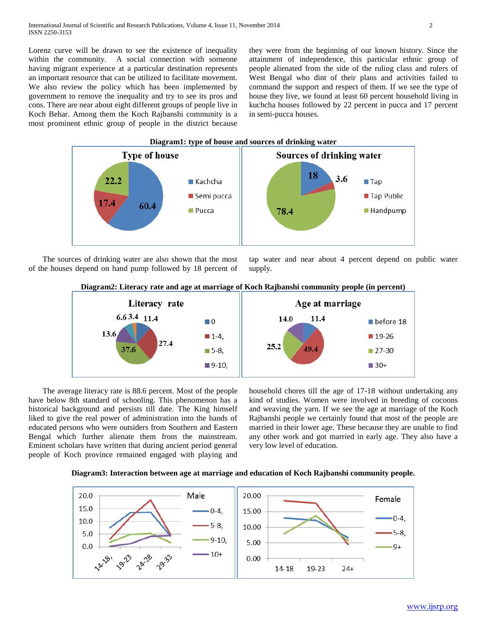Lorenz curve will be drawn to see the existence of inequality within the community. A social connection with someone having migrant experience at a particular destination represents an important resource that can be utilized to facilitate movement. We also review the policy which has been implemented by government to remove the inequality and try to see its pros and cons. There are near about eight different groups of people live in Koch Behar. Among them the Koch Rajbanshi community is a most prominent ethnic group of people in the district because

they were from the beginning of our known history. Since the attainment of independence, this particular ethnic group of people alienated from the side of the ruling class and rulers of West Bengal who dint of their plans and activities failed to command the support and respect of them. If we see the type of house they live, we found at least 60 percent household living in kuchcha houses followed by 22 percent in pucca and 17 percent in semi-pucca houses.



 The sources of drinking water are also shown that the most of the houses depend on hand pump followed by 18 percent of tap water and near about 4 percent depend on public water supply.





 The average literacy rate is 88.6 percent. Most of the people have below 8th standard of schooling. This phenomenon has a historical background and persists till date. The King himself liked to give the real power of administration into the hands of educated persons who were outsiders from Southern and Eastern Bengal which further alienate them from the mainstream. Eminent scholars have written that during ancient period general people of Koch province remained engaged with playing and

household chores till the age of 17-18 without undertaking any kind of studies. Women were involved in breeding of cocoons and weaving the yarn. If we see the age at marriage of the Koch Rajbanshi people we certainly found that most of the people are married in their lower age. These because they are unable to find any other work and got married in early age. They also have a very low level of education.



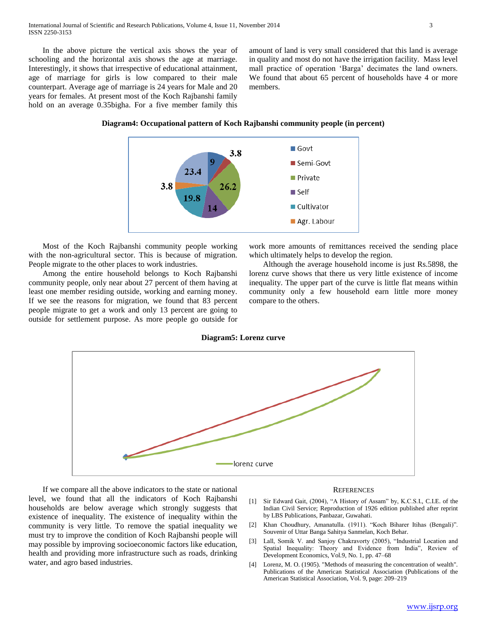In the above picture the vertical axis shows the year of schooling and the horizontal axis shows the age at marriage. Interestingly, it shows that irrespective of educational attainment, age of marriage for girls is low compared to their male counterpart. Average age of marriage is 24 years for Male and 20 years for females. At present most of the Koch Rajbanshi family hold on an average 0.35bigha. For a five member family this

amount of land is very small considered that this land is average in quality and most do not have the irrigation facility. Mass level mall practice of operation "Barga" decimates the land owners. We found that about 65 percent of households have 4 or more members.

**Diagram4: Occupational pattern of Koch Rajbanshi community people (in percent)**



 Most of the Koch Rajbanshi community people working with the non-agricultural sector. This is because of migration. People migrate to the other places to work industries.

 Among the entire household belongs to Koch Rajbanshi community people, only near about 27 percent of them having at least one member residing outside, working and earning money. If we see the reasons for migration, we found that 83 percent people migrate to get a work and only 13 percent are going to outside for settlement purpose. As more people go outside for

work more amounts of remittances received the sending place which ultimately helps to develop the region.

 Although the average household income is just Rs.5898, the lorenz curve shows that there us very little existence of income inequality. The upper part of the curve is little flat means within community only a few household earn little more money compare to the others.

### **Diagram5: Lorenz curve**



 If we compare all the above indicators to the state or national level, we found that all the indicators of Koch Rajbanshi households are below average which strongly suggests that existence of inequality. The existence of inequality within the community is very little. To remove the spatial inequality we must try to improve the condition of Koch Rajbanshi people will may possible by improving socioeconomic factors like education, health and providing more infrastructure such as roads, drinking water, and agro based industries.

#### **REFERENCES**

- [1] Sir Edward Gait, (2004), "A History of Assam" by, K.C.S.I., C.I.E. of the Indian Civil Service; Reproduction of 1926 edition published after reprint by LBS Publications, Panbazar, Guwahati.
- [2] Khan Choudhury, Amanatulla. (1911). "Koch Biharer Itihas (Bengali)". Souvenir of Uttar Banga Sahitya Sanmelan, Koch Behar.
- [3] Lall, Somik V. and Sanjoy Chakravorty (2005), "Industrial Location and Spatial Inequality: Theory and Evidence from India", Review of Development Economics, Vol.9, No. 1, pp. 47–68
- [4] Lorenz, M. O. (1905). "Methods of measuring the concentration of wealth". Publications of the American Statistical Association (Publications of the American Statistical Association, Vol. 9, page: 209–219